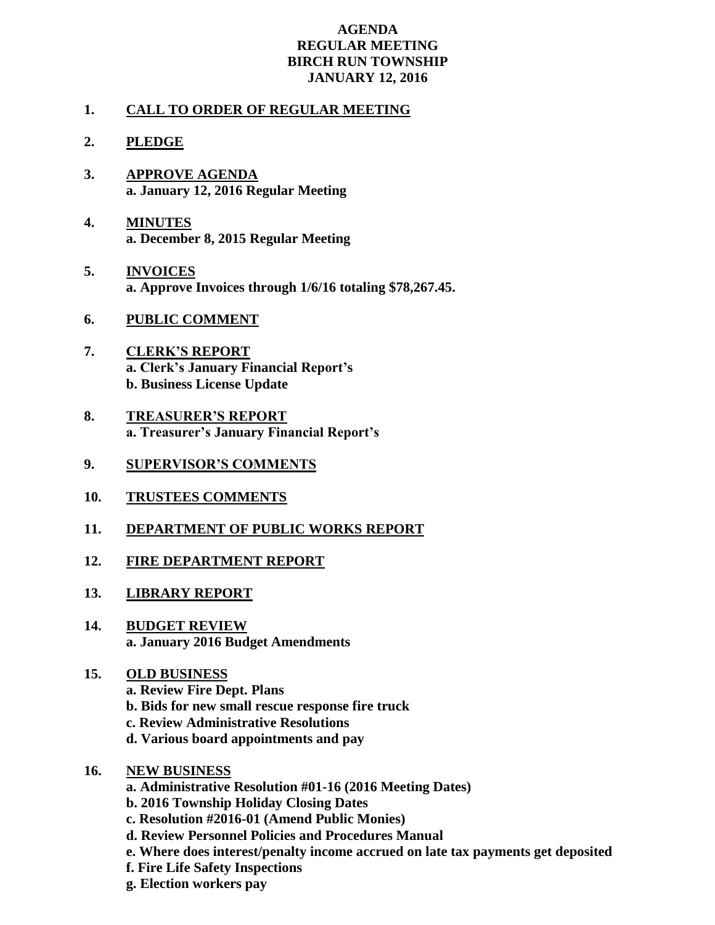## **AGENDA REGULAR MEETING BIRCH RUN TOWNSHIP JANUARY 12, 2016**

## **1. CALL TO ORDER OF REGULAR MEETING**

## **2. PLEDGE**

- **3. APPROVE AGENDA a. January 12, 2016 Regular Meeting**
- **4. MINUTES a. December 8, 2015 Regular Meeting**
- **5. INVOICES a. Approve Invoices through 1/6/16 totaling \$78,267.45.**
- **6. PUBLIC COMMENT**
- **7. CLERK'S REPORT a. Clerk's January Financial Report's b. Business License Update**
- **8. TREASURER'S REPORT a. Treasurer's January Financial Report's**
- **9. SUPERVISOR'S COMMENTS**
- **10. TRUSTEES COMMENTS**
- **11. DEPARTMENT OF PUBLIC WORKS REPORT**
- **12. FIRE DEPARTMENT REPORT**
- **13. LIBRARY REPORT**
- **14. BUDGET REVIEW a. January 2016 Budget Amendments**
- **15. OLD BUSINESS a. Review Fire Dept. Plans b. Bids for new small rescue response fire truck c. Review Administrative Resolutions d. Various board appointments and pay**
- **16. NEW BUSINESS**
	- **a. Administrative Resolution #01-16 (2016 Meeting Dates)**
	- **b. 2016 Township Holiday Closing Dates**
	- **c. Resolution #2016-01 (Amend Public Monies)**
	- **d. Review Personnel Policies and Procedures Manual**
	- **e. Where does interest/penalty income accrued on late tax payments get deposited**
	- **f. Fire Life Safety Inspections**
	- **g. Election workers pay**